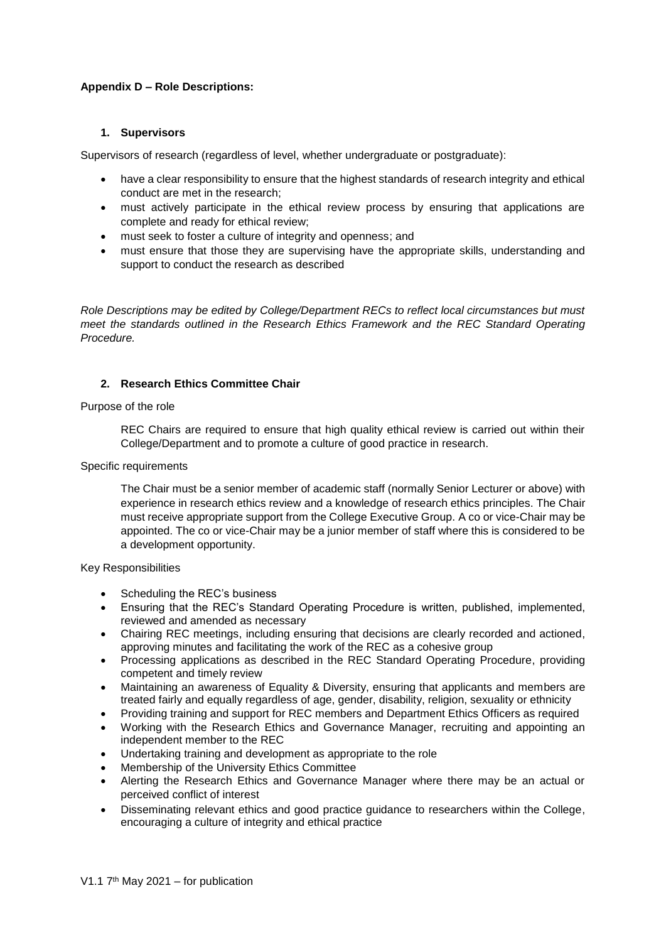# **Appendix D – Role Descriptions:**

### **1. Supervisors**

Supervisors of research (regardless of level, whether undergraduate or postgraduate):

- have a clear responsibility to ensure that the highest standards of research integrity and ethical conduct are met in the research;
- must actively participate in the ethical review process by ensuring that applications are complete and ready for ethical review;
- must seek to foster a culture of integrity and openness; and
- must ensure that those they are supervising have the appropriate skills, understanding and support to conduct the research as described

*Role Descriptions may be edited by College/Department RECs to reflect local circumstances but must meet the standards outlined in the Research Ethics Framework and the REC Standard Operating Procedure.*

## **2. Research Ethics Committee Chair**

### Purpose of the role

REC Chairs are required to ensure that high quality ethical review is carried out within their College/Department and to promote a culture of good practice in research.

### Specific requirements

The Chair must be a senior member of academic staff (normally Senior Lecturer or above) with experience in research ethics review and a knowledge of research ethics principles. The Chair must receive appropriate support from the College Executive Group. A co or vice-Chair may be appointed. The co or vice-Chair may be a junior member of staff where this is considered to be a development opportunity.

#### Key Responsibilities

- Scheduling the REC's business
- Ensuring that the REC's Standard Operating Procedure is written, published, implemented, reviewed and amended as necessary
- Chairing REC meetings, including ensuring that decisions are clearly recorded and actioned, approving minutes and facilitating the work of the REC as a cohesive group
- Processing applications as described in the REC Standard Operating Procedure, providing competent and timely review
- Maintaining an awareness of Equality & Diversity, ensuring that applicants and members are treated fairly and equally regardless of age, gender, disability, religion, sexuality or ethnicity
- Providing training and support for REC members and Department Ethics Officers as required
- Working with the Research Ethics and Governance Manager, recruiting and appointing an independent member to the REC
- Undertaking training and development as appropriate to the role
- Membership of the University Ethics Committee
- Alerting the Research Ethics and Governance Manager where there may be an actual or perceived conflict of interest
- Disseminating relevant ethics and good practice guidance to researchers within the College, encouraging a culture of integrity and ethical practice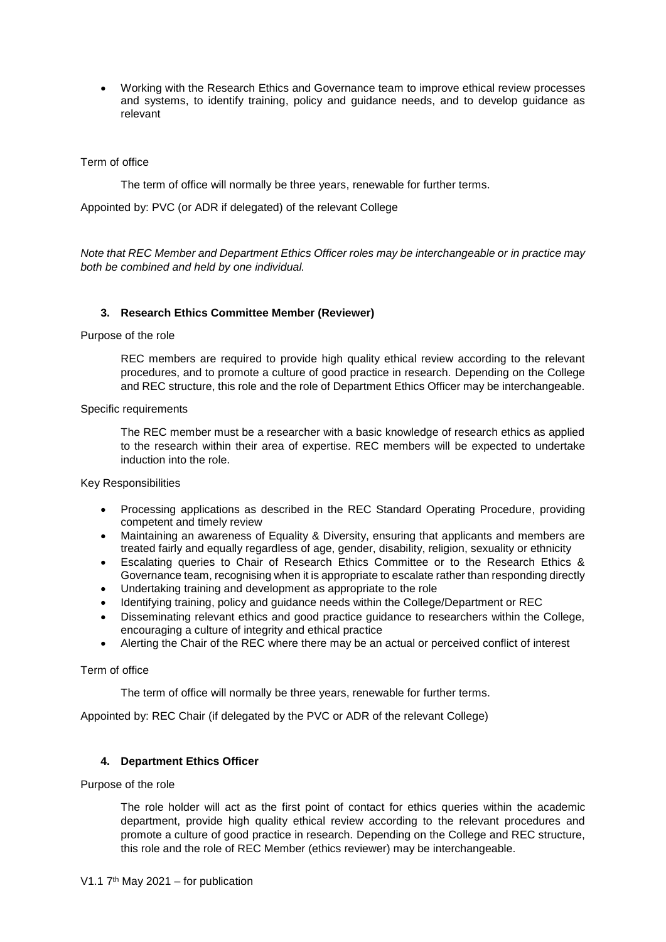Working with the Research Ethics and Governance team to improve ethical review processes and systems, to identify training, policy and guidance needs, and to develop guidance as relevant

### Term of office

The term of office will normally be three years, renewable for further terms.

Appointed by: PVC (or ADR if delegated) of the relevant College

*Note that REC Member and Department Ethics Officer roles may be interchangeable or in practice may both be combined and held by one individual.*

### **3. Research Ethics Committee Member (Reviewer)**

Purpose of the role

REC members are required to provide high quality ethical review according to the relevant procedures, and to promote a culture of good practice in research. Depending on the College and REC structure, this role and the role of Department Ethics Officer may be interchangeable.

Specific requirements

The REC member must be a researcher with a basic knowledge of research ethics as applied to the research within their area of expertise. REC members will be expected to undertake induction into the role.

Key Responsibilities

- Processing applications as described in the REC Standard Operating Procedure, providing competent and timely review
- Maintaining an awareness of Equality & Diversity, ensuring that applicants and members are treated fairly and equally regardless of age, gender, disability, religion, sexuality or ethnicity
- Escalating queries to Chair of Research Ethics Committee or to the Research Ethics & Governance team, recognising when it is appropriate to escalate rather than responding directly
- Undertaking training and development as appropriate to the role
- Identifying training, policy and guidance needs within the College/Department or REC
- Disseminating relevant ethics and good practice guidance to researchers within the College, encouraging a culture of integrity and ethical practice
- Alerting the Chair of the REC where there may be an actual or perceived conflict of interest

Term of office

The term of office will normally be three years, renewable for further terms.

Appointed by: REC Chair (if delegated by the PVC or ADR of the relevant College)

#### **4. Department Ethics Officer**

Purpose of the role

The role holder will act as the first point of contact for ethics queries within the academic department, provide high quality ethical review according to the relevant procedures and promote a culture of good practice in research. Depending on the College and REC structure, this role and the role of REC Member (ethics reviewer) may be interchangeable.